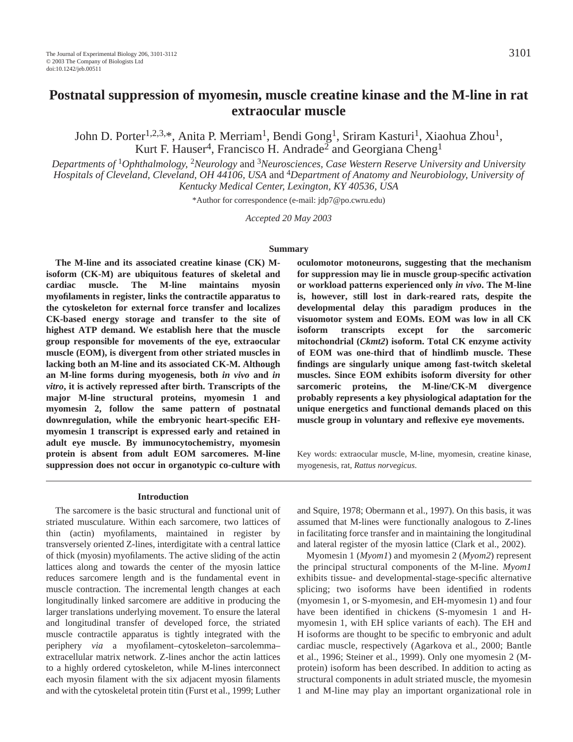# **Postnatal suppression of myomesin, muscle creatine kinase and the M-line in rat extraocular muscle**

John D. Porter<sup>1,2,3,\*</sup>, Anita P. Merriam<sup>1</sup>, Bendi Gong<sup>1</sup>, Sriram Kasturi<sup>1</sup>, Xiaohua Zhou<sup>1</sup>, Kurt F. Hauser<sup>4</sup>, Francisco H. Andrade<sup>2</sup> and Georgiana Cheng<sup>1</sup>

*Departments of* 1*Ophthalmology,* 2*Neurology* and 3*Neurosciences, Case Western Reserve University and University Hospitals of Cleveland, Cleveland, OH 44106, USA* and 4*Department of Anatomy and Neurobiology, University of Kentucky Medical Center, Lexington, KY 40536, USA*

\*Author for correspondence (e-mail: jdp7@po.cwru.edu)

*Accepted 20 May 2003*

#### **Summary**

**The M-line and its associated creatine kinase (CK) Misoform (CK-M) are ubiquitous features of skeletal and cardiac muscle. The M-line maintains myosin myofilaments in register, links the contractile apparatus to the cytoskeleton for external force transfer and localizes CK-based energy storage and transfer to the site of highest ATP demand. We establish here that the muscle group responsible for movements of the eye, extraocular muscle (EOM), is divergent from other striated muscles in lacking both an M-line and its associated CK-M. Although an M-line forms during myogenesis, both** *in vivo* **and** *in vitro***, it is actively repressed after birth. Transcripts of the major M-line structural proteins, myomesin 1 and myomesin 2, follow the same pattern of postnatal downregulation, while the embryonic heart-specific EHmyomesin 1 transcript is expressed early and retained in adult eye muscle. By immunocytochemistry, myomesin protein is absent from adult EOM sarcomeres. M-line suppression does not occur in organotypic co-culture with**

#### **Introduction**

The sarcomere is the basic structural and functional unit of striated musculature. Within each sarcomere, two lattices of thin (actin) myofilaments, maintained in register by transversely oriented Z-lines, interdigitate with a central lattice of thick (myosin) myofilaments. The active sliding of the actin lattices along and towards the center of the myosin lattice reduces sarcomere length and is the fundamental event in muscle contraction. The incremental length changes at each longitudinally linked sarcomere are additive in producing the larger translations underlying movement. To ensure the lateral and longitudinal transfer of developed force, the striated muscle contractile apparatus is tightly integrated with the periphery *via* a myofilament–cytoskeleton–sarcolemma– extracellular matrix network. Z-lines anchor the actin lattices to a highly ordered cytoskeleton, while M-lines interconnect each myosin filament with the six adjacent myosin filaments and with the cytoskeletal protein titin (Furst et al., 1999; Luther

**oculomotor motoneurons, suggesting that the mechanism for suppression may lie in muscle group-specific activation or workload patterns experienced only** *in vivo***. The M-line is, however, still lost in dark-reared rats, despite the developmental delay this paradigm produces in the visuomotor system and EOMs. EOM was low in all CK isoform transcripts except for the sarcomeric mitochondrial (***Ckmt2***) isoform. Total CK enzyme activity of EOM was one-third that of hindlimb muscle. These findings are singularly unique among fast-twitch skeletal muscles. Since EOM exhibits isoform diversity for other sarcomeric proteins, the M-line/CK-M divergence probably represents a key physiological adaptation for the unique energetics and functional demands placed on this muscle group in voluntary and reflexive eye movements.**

Key words: extraocular muscle, M-line, myomesin, creatine kinase, myogenesis, rat, *Rattus norvegicus*.

and Squire, 1978; Obermann et al., 1997). On this basis, it was assumed that M-lines were functionally analogous to Z-lines in facilitating force transfer and in maintaining the longitudinal and lateral register of the myosin lattice (Clark et al., 2002).

Myomesin 1 (*Myom1*) and myomesin 2 (*Myom2*) represent the principal structural components of the M-line. *Myom1* exhibits tissue- and developmental-stage-specific alternative splicing; two isoforms have been identified in rodents (myomesin 1, or S-myomesin, and EH-myomesin 1) and four have been identified in chickens (S-myomesin 1 and Hmyomesin 1, with EH splice variants of each). The EH and H isoforms are thought to be specific to embryonic and adult cardiac muscle, respectively (Agarkova et al., 2000; Bantle et al., 1996; Steiner et al., 1999). Only one myomesin 2 (Mprotein) isoform has been described. In addition to acting as structural components in adult striated muscle, the myomesin 1 and M-line may play an important organizational role in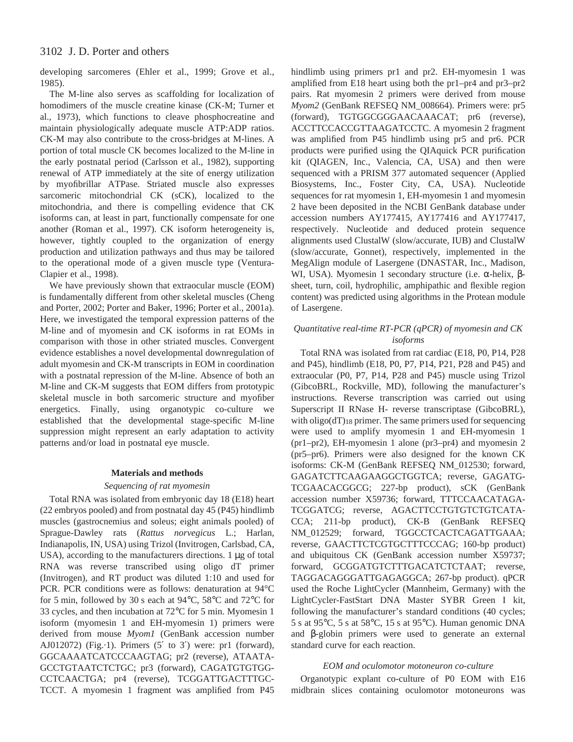developing sarcomeres (Ehler et al., 1999; Grove et al., 1985).

The M-line also serves as scaffolding for localization of homodimers of the muscle creatine kinase (CK-M; Turner et al., 1973), which functions to cleave phosphocreatine and maintain physiologically adequate muscle ATP:ADP ratios. CK-M may also contribute to the cross-bridges at M-lines. A portion of total muscle CK becomes localized to the M-line in the early postnatal period (Carlsson et al., 1982), supporting renewal of ATP immediately at the site of energy utilization by myofibrillar ATPase. Striated muscle also expresses sarcomeric mitochondrial CK (sCK), localized to the mitochondria, and there is compelling evidence that CK isoforms can, at least in part, functionally compensate for one another (Roman et al., 1997). CK isoform heterogeneity is, however, tightly coupled to the organization of energy production and utilization pathways and thus may be tailored to the operational mode of a given muscle type (Ventura-Clapier et al., 1998).

We have previously shown that extraocular muscle (EOM) is fundamentally different from other skeletal muscles (Cheng and Porter, 2002; Porter and Baker, 1996; Porter et al., 2001a). Here, we investigated the temporal expression patterns of the M-line and of myomesin and CK isoforms in rat EOMs in comparison with those in other striated muscles. Convergent evidence establishes a novel developmental downregulation of adult myomesin and CK-M transcripts in EOM in coordination with a postnatal repression of the M-line. Absence of both an M-line and CK-M suggests that EOM differs from prototypic skeletal muscle in both sarcomeric structure and myofiber energetics. Finally, using organotypic co-culture we established that the developmental stage-specific M-line suppression might represent an early adaptation to activity patterns and/or load in postnatal eye muscle.

### **Materials and methods**

### *Sequencing of rat myomesin*

Total RNA was isolated from embryonic day 18 (E18) heart (22 embryos pooled) and from postnatal day 45 (P45) hindlimb muscles (gastrocnemius and soleus; eight animals pooled) of Sprague-Dawley rats (*Rattus norvegicus* L.; Harlan, Indianapolis, IN, USA) using Trizol (Invitrogen, Carlsbad, CA, USA), according to the manufacturers directions.  $1 \mu$ g of total RNA was reverse transcribed using oligo dT primer (Invitrogen), and RT product was diluted 1:10 and used for PCR. PCR conditions were as follows: denaturation at 94°C for 5 min, followed by 30 s each at  $94^{\circ}$ C, 58 $^{\circ}$ C and 72 $^{\circ}$ C for 33 cycles, and then incubation at  $72^{\circ}$ C for 5 min. Myomesin 1 isoform (myomesin 1 and EH-myomesin 1) primers were derived from mouse *Myom1* (GenBank accession number AJ012072) (Fig. 1). Primers  $(5'$  to  $3')$  were: pr1 (forward), GGCAAAATCATCCCAAGTAG; pr2 (reverse), ATAATA-GCCTGTAATCTCTGC; pr3 (forward), CAGATGTGTGG-CCTCAACTGA; pr4 (reverse), TCGGATTGACTTTGC-TCCT. A myomesin 1 fragment was amplified from P45 hindlimb using primers pr1 and pr2. EH-myomesin 1 was amplified from E18 heart using both the pr1–pr4 and pr3–pr2 pairs. Rat myomesin 2 primers were derived from mouse *Myom2* (GenBank REFSEQ NM\_008664). Primers were: pr5 (forward), TGTGGCGGGAACAAACAT; pr6 (reverse), ACCTTCCACCGTTAAGATCCTC. A myomesin 2 fragment was amplified from P45 hindlimb using pr5 and pr6. PCR products were purified using the QIAquick PCR purification kit (QIAGEN, Inc., Valencia, CA, USA) and then were sequenced with a PRISM 377 automated sequencer (Applied Biosystems, Inc., Foster City, CA, USA). Nucleotide sequences for rat myomesin 1, EH-myomesin 1 and myomesin 2 have been deposited in the NCBI GenBank database under accession numbers AY177415, AY177416 and AY177417, respectively. Nucleotide and deduced protein sequence alignments used ClustalW (slow/accurate, IUB) and ClustalW (slow/accurate, Gonnet), respectively, implemented in the MegAlign module of Lasergene (DNASTAR, Inc., Madison, WI, USA). Myomesin 1 secondary structure (i.e. α-helix, βsheet, turn, coil, hydrophilic, amphipathic and flexible region content) was predicted using algorithms in the Protean module of Lasergene.

### *Quantitative real-time RT-PCR (qPCR) of myomesin and CK isoforms*

Total RNA was isolated from rat cardiac (E18, P0, P14, P28 and P45), hindlimb (E18, P0, P7, P14, P21, P28 and P45) and extraocular (P0, P7, P14, P28 and P45) muscle using Trizol (GibcoBRL, Rockville, MD), following the manufacturer's instructions. Reverse transcription was carried out using Superscript II RNase H- reverse transcriptase (GibcoBRL), with  $\text{oligo}(dT)_{18}$  primer. The same primers used for sequencing were used to amplify myomesin 1 and EH-myomesin 1 (pr1–pr2), EH-myomesin 1 alone (pr3–pr4) and myomesin 2 (pr5–pr6). Primers were also designed for the known CK isoforms: CK-M (GenBank REFSEQ NM\_012530; forward, GAGATCTTCAAGAAGGCTGGTCA; reverse, GAGATG-TCGAACACGGCG; 227-bp product), sCK (GenBank accession number X59736; forward, TTTCCAACATAGA-TCGGATCG; reverse, AGACTTCCTGTGTCTGTCATA-CCA; 211-bp product), CK-B (GenBank REFSEQ NM\_012529; forward, TGGCCTCACTCAGATTGAAA; reverse, GAACTTCTCGTGCTTTCCCAG; 160-bp product) and ubiquitous CK (GenBank accession number X59737; forward, GCGGATGTCTTTGACATCTCTAAT; reverse, TAGGACAGGGATTGAGAGGCA; 267-bp product). qPCR used the Roche LightCycler (Mannheim, Germany) with the LightCycler-FastStart DNA Master SYBR Green I kit, following the manufacturer's standard conditions (40 cycles; 5 s at 95°C, 5 s at 58°C, 15 s at 95°C). Human genomic DNA and β-globin primers were used to generate an external standard curve for each reaction.

### *EOM and oculomotor motoneuron co-culture*

Organotypic explant co-culture of P0 EOM with E16 midbrain slices containing oculomotor motoneurons was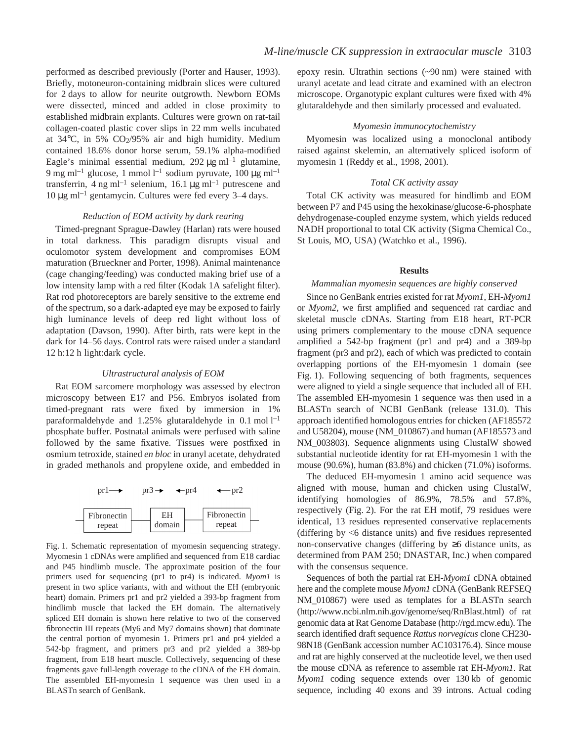performed as described previously (Porter and Hauser, 1993). Briefly, motoneuron-containing midbrain slices were cultured for 2 days to allow for neurite outgrowth. Newborn EOMs were dissected, minced and added in close proximity to established midbrain explants. Cultures were grown on rat-tail collagen-coated plastic cover slips in 22 mm wells incubated at 34°C, in 5% CO2/95% air and high humidity. Medium contained 18.6% donor horse serum, 59.1% alpha-modified Eagle's minimal essential medium,  $292 \mu g$  ml<sup>-1</sup> glutamine, 9 mg ml<sup>-1</sup> glucose, 1 mmol l<sup>-1</sup> sodium pyruvate, 100 µg ml<sup>-1</sup> transferrin, 4 ng ml<sup>-1</sup> selenium, 16.1 µg ml<sup>-1</sup> putrescene and  $10 \mu g$  ml<sup>-1</sup> gentamycin. Cultures were fed every 3–4 days.

### *Reduction of EOM activity by dark rearing*

Timed-pregnant Sprague-Dawley (Harlan) rats were housed in total darkness. This paradigm disrupts visual and oculomotor system development and compromises EOM maturation (Brueckner and Porter, 1998). Animal maintenance (cage changing/feeding) was conducted making brief use of a low intensity lamp with a red filter (Kodak 1A safelight filter). Rat rod photoreceptors are barely sensitive to the extreme end of the spectrum, so a dark-adapted eye may be exposed to fairly high luminance levels of deep red light without loss of adaptation (Davson, 1990). After birth, rats were kept in the dark for 14–56 days. Control rats were raised under a standard 12 h:12 h light:dark cycle.

#### *Ultrastructural analysis of EOM*

Rat EOM sarcomere morphology was assessed by electron microscopy between E17 and P56. Embryos isolated from timed-pregnant rats were fixed by immersion in 1% paraformaldehyde and  $1.25\%$  glutaraldehyde in 0.1 mol  $l^{-1}$ phosphate buffer. Postnatal animals were perfused with saline followed by the same fixative. Tissues were postfixed in osmium tetroxide, stained *en bloc* in uranyl acetate, dehydrated in graded methanols and propylene oxide, and embedded in



Fig. 1. Schematic representation of myomesin sequencing strategy. Myomesin 1 cDNAs were amplified and sequenced from E18 cardiac and P45 hindlimb muscle. The approximate position of the four primers used for sequencing (pr1 to pr4) is indicated. *Myom1* is present in two splice variants, with and without the EH (embryonic heart) domain. Primers pr1 and pr2 yielded a 393-bp fragment from hindlimb muscle that lacked the EH domain. The alternatively spliced EH domain is shown here relative to two of the conserved fibronectin III repeats (My6 and My7 domains shown) that dominate the central portion of myomesin 1. Primers pr1 and pr4 yielded a 542-bp fragment, and primers pr3 and pr2 yielded a 389-bp fragment, from E18 heart muscle. Collectively, sequencing of these fragments gave full-length coverage to the cDNA of the EH domain. The assembled EH-myomesin 1 sequence was then used in a BLASTn search of GenBank.

epoxy resin. Ultrathin sections  $(\sim 90$  nm) were stained with uranyl acetate and lead citrate and examined with an electron microscope. Organotypic explant cultures were fixed with 4% glutaraldehyde and then similarly processed and evaluated.

### *Myomesin immunocytochemistry*

Myomesin was localized using a monoclonal antibody raised against skelemin, an alternatively spliced isoform of myomesin 1 (Reddy et al., 1998, 2001).

#### *Total CK activity assay*

Total CK activity was measured for hindlimb and EOM between P7 and P45 using the hexokinase/glucose-6-phosphate dehydrogenase-coupled enzyme system, which yields reduced NADH proportional to total CK activity (Sigma Chemical Co., St Louis, MO, USA) (Watchko et al., 1996).

### **Results**

#### *Mammalian myomesin sequences are highly conserved*

Since no GenBank entries existed for rat *Myom1*, EH-*Myom1* or *Myom2*, we first amplified and sequenced rat cardiac and skeletal muscle cDNAs. Starting from E18 heart, RT-PCR using primers complementary to the mouse cDNA sequence amplified a 542-bp fragment (pr1 and pr4) and a 389-bp fragment (pr3 and pr2), each of which was predicted to contain overlapping portions of the EH-myomesin 1 domain (see Fig. 1). Following sequencing of both fragments, sequences were aligned to yield a single sequence that included all of EH. The assembled EH-myomesin 1 sequence was then used in a BLASTn search of NCBI GenBank (release 131.0). This approach identified homologous entries for chicken (AF185572 and U58204), mouse (NM\_010867) and human (AF185573 and NM\_003803). Sequence alignments using ClustalW showed substantial nucleotide identity for rat EH-myomesin 1 with the mouse (90.6%), human (83.8%) and chicken (71.0%) isoforms.

The deduced EH-myomesin 1 amino acid sequence was aligned with mouse, human and chicken using ClustalW, identifying homologies of 86.9%, 78.5% and 57.8%, respectively (Fig. 2). For the rat EH motif, 79 residues were identical, 13 residues represented conservative replacements (differing by <6 distance units) and five residues represented non-conservative changes (differing by ≥6 distance units, as determined from PAM 250; DNASTAR, Inc.) when compared with the consensus sequence.

Sequences of both the partial rat EH-*Myom1* cDNA obtained here and the complete mouse *Myom1* cDNA (GenBank REFSEQ NM\_010867) were used as templates for a BLASTn search (http://www.ncbi.nlm.nih.gov/genome/seq/RnBlast.html) of rat genomic data at Rat Genome Database (http://rgd.mcw.edu). The search identified draft sequence *Rattus norvegicus* clone CH230- 98N18 (GenBank accession number AC103176.4). Since mouse and rat are highly conserved at the nucleotide level, we then used the mouse cDNA as reference to assemble rat EH-*Myom1*. Rat *Myom1* coding sequence extends over 130 kb of genomic sequence, including 40 exons and 39 introns. Actual coding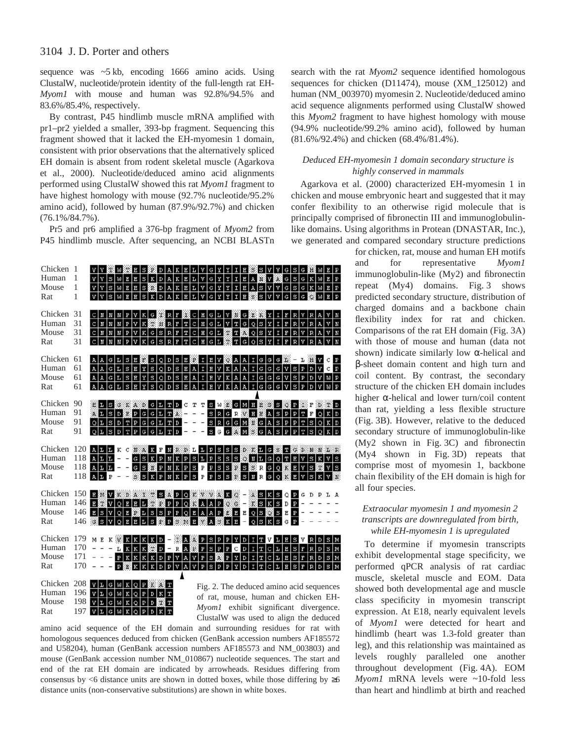sequence was  $\sim$  5 kb, encoding 1666 amino acids. Using ClustalW, nucleotide/protein identity of the full-length rat EH-*Myom1* with mouse and human was 92.8%/94.5% and 83.6%/85.4%, respectively.

By contrast, P45 hindlimb muscle mRNA amplified with pr1–pr2 yielded a smaller, 393-bp fragment. Sequencing this fragment showed that it lacked the EH-myomesin 1 domain, consistent with prior observations that the alternatively spliced EH domain is absent from rodent skeletal muscle (Agarkova et al., 2000). Nucleotide/deduced amino acid alignments performed using ClustalW showed this rat *Myom1* fragment to have highest homology with mouse (92.7% nucleotide/95.2% amino acid), followed by human (87.9%/92.7%) and chicken (76.1%/84.7%).

Pr5 and pr6 amplified a 376-bp fragment of *Myom2* from P45 hindlimb muscle. After sequencing, an NCBI BLASTn

| Chicken 1                                                             |                                                                                                                                                                                                                                                                                                                                                                                                                                                       | VV▒▒▒▒ES\$▒▒D}A K E L V G Y Y I E▒▒S V V G S G▒▒W E P                                                                                                                                                                                                                                                                                                                                                                                                                      |  |  |  |  |  |  |  |  |  |  |  |  |                                              |  |  |
|-----------------------------------------------------------------------|-------------------------------------------------------------------------------------------------------------------------------------------------------------------------------------------------------------------------------------------------------------------------------------------------------------------------------------------------------------------------------------------------------------------------------------------------------|----------------------------------------------------------------------------------------------------------------------------------------------------------------------------------------------------------------------------------------------------------------------------------------------------------------------------------------------------------------------------------------------------------------------------------------------------------------------------|--|--|--|--|--|--|--|--|--|--|--|--|----------------------------------------------|--|--|
| Human                                                                 | 1                                                                                                                                                                                                                                                                                                                                                                                                                                                     | $V V S W E E S K D A K E L V G Y Y I E A \overset{\text{even}}{\text{SM}} V \overset{\text{even}}{\text{SM}} G S G K W E P$                                                                                                                                                                                                                                                                                                                                                |  |  |  |  |  |  |  |  |  |  |  |  |                                              |  |  |
| Mouse                                                                 | 1                                                                                                                                                                                                                                                                                                                                                                                                                                                     | VVSWEES 88 DAKELVGYIIEASVVGSGKWEP                                                                                                                                                                                                                                                                                                                                                                                                                                          |  |  |  |  |  |  |  |  |  |  |  |  |                                              |  |  |
| Rat                                                                   | $\mathbf{1}$                                                                                                                                                                                                                                                                                                                                                                                                                                          | VVSWEESKDAKELVGYIIE SIVVGSG WEP                                                                                                                                                                                                                                                                                                                                                                                                                                            |  |  |  |  |  |  |  |  |  |  |  |  |                                              |  |  |
|                                                                       |                                                                                                                                                                                                                                                                                                                                                                                                                                                       |                                                                                                                                                                                                                                                                                                                                                                                                                                                                            |  |  |  |  |  |  |  |  |  |  |  |  |                                              |  |  |
| Chicken 31                                                            |                                                                                                                                                                                                                                                                                                                                                                                                                                                       | CNNNNPVKG <b>@@RF@@</b> CHGLV <b>@@G@@@@@</b> YIFRVRAVN                                                                                                                                                                                                                                                                                                                                                                                                                    |  |  |  |  |  |  |  |  |  |  |  |  |                                              |  |  |
| Human                                                                 | 31                                                                                                                                                                                                                                                                                                                                                                                                                                                    | $\boxed{C \mid N \mid N \mid F \mid V \mid K}$                                                                                                                                                                                                                                                                                                                                                                                                                             |  |  |  |  |  |  |  |  |  |  |  |  |                                              |  |  |
| Mouse                                                                 | 31                                                                                                                                                                                                                                                                                                                                                                                                                                                    | C   N   N   N   P   V   K   G   S   R   F   T   C   H   G   L 333 T 333 Q   S   Y   I   F   R   V   R   A   V   N                                                                                                                                                                                                                                                                                                                                                          |  |  |  |  |  |  |  |  |  |  |  |  |                                              |  |  |
| Rat                                                                   | 31                                                                                                                                                                                                                                                                                                                                                                                                                                                    | $\boxed{C \mid N \mid N \mid F \mid V \mid K \mid G \mid S \mid R \mid F \mid T \mid C \mid H \mid G \mid L} \ \text{SSR} \ \text{TS} \ \text{TS} \ \text{TS} \ \text{TS} \ \text{TS} \ \text{TS} \ \text{TS} \ \text{TS} \ \text{TS} \ \text{TS} \ \text{TS} \ \text{TS} \ \text{TS} \ \text{TS} \ \text{TS} \ \text{TS} \ \text{TS} \ \text{TS} \ \text{TS} \ \text{TS} \ \text{TS} \ \text{TS} \ \text{TS} \ \text{TS} \ \text{TS} \ \text{TS} \ \text{TS} \ \text{$    |  |  |  |  |  |  |  |  |  |  |  |  |                                              |  |  |
|                                                                       |                                                                                                                                                                                                                                                                                                                                                                                                                                                       |                                                                                                                                                                                                                                                                                                                                                                                                                                                                            |  |  |  |  |  |  |  |  |  |  |  |  |                                              |  |  |
| Chicken 61                                                            |                                                                                                                                                                                                                                                                                                                                                                                                                                                       | $\texttt{A} \texttt{A} \texttt{G} \texttt{L} \texttt{S} \texttt{E} \boxtimes \texttt{S} \texttt{S} \texttt{S} \texttt{G} \texttt{D} \texttt{S} \texttt{E} \boxtimes \texttt{S} \texttt{I} \texttt{E} \texttt{V} \boxtimes \texttt{A} \texttt{A} \texttt{I} \texttt{I} \texttt{G} \texttt{G} \texttt{G} \boxtimes \texttt{S} \texttt{I} \texttt{E} \texttt{I} \texttt{S} \texttt{I} \texttt{G} \texttt{I} \texttt{I} \texttt{I} \texttt{$                                   |  |  |  |  |  |  |  |  |  |  |  |  |                                              |  |  |
| Human                                                                 | 61                                                                                                                                                                                                                                                                                                                                                                                                                                                    | $A \big  A \big  G \big  L \big  S \big  E \big  Y \big  S \big  Q \big  D \big  S \big  E \big  A \big  I \big  E \big  V \big  K \big  A \big  I \big  G \big  G \big  G \big  V \big  S \big  P \big  D \big  V \big  C \big  P$                                                                                                                                                                                                                                        |  |  |  |  |  |  |  |  |  |  |  |  |                                              |  |  |
| Mouse<br>Rat                                                          | 61<br>61                                                                                                                                                                                                                                                                                                                                                                                                                                              | $A \big  A \big  G \big  L \big  S \big  E \big  Y \big  S \big  Q \big  D \big  S \big  E \big  A \big  I \big  E \big  V \big  K \big  A \big  I \big  G \big  G \big  G \big  V \big  S \big  P \big  D \big  V \big  W \big  P$<br>$A \big  A \big  G \big  L \big  S \big  E \big  Y \big  S \big  Q \big  D \big  S \big  E \big  A \big  I \big  E \big  V \big  K \big  A \big  A \big  I \big  G \big  G \big  V \big  S \big  P \big  D \big  V \big  W \big  P$ |  |  |  |  |  |  |  |  |  |  |  |  |                                              |  |  |
|                                                                       |                                                                                                                                                                                                                                                                                                                                                                                                                                                       |                                                                                                                                                                                                                                                                                                                                                                                                                                                                            |  |  |  |  |  |  |  |  |  |  |  |  |                                              |  |  |
| Chicken 90                                                            |                                                                                                                                                                                                                                                                                                                                                                                                                                                       | ※LS※※※※GLTDCTTSW※GMH*※※SB※P※F※※D                                                                                                                                                                                                                                                                                                                                                                                                                                           |  |  |  |  |  |  |  |  |  |  |  |  |                                              |  |  |
| Human                                                                 | 91                                                                                                                                                                                                                                                                                                                                                                                                                                                    | ▓LSD▓PGGLT▓- - - SRGR▓H▓ASPPTFQKD                                                                                                                                                                                                                                                                                                                                                                                                                                          |  |  |  |  |  |  |  |  |  |  |  |  |                                              |  |  |
| Mouse                                                                 | 91                                                                                                                                                                                                                                                                                                                                                                                                                                                    | $QL S D T P G G L T D  = -  S R G G M G A S P P T S Q K D $                                                                                                                                                                                                                                                                                                                                                                                                                |  |  |  |  |  |  |  |  |  |  |  |  |                                              |  |  |
| Rat                                                                   | 91                                                                                                                                                                                                                                                                                                                                                                                                                                                    | $QL S D T P G G L T D --S G G$                                                                                                                                                                                                                                                                                                                                                                                                                                             |  |  |  |  |  |  |  |  |  |  |  |  |                                              |  |  |
|                                                                       |                                                                                                                                                                                                                                                                                                                                                                                                                                                       |                                                                                                                                                                                                                                                                                                                                                                                                                                                                            |  |  |  |  |  |  |  |  |  |  |  |  |                                              |  |  |
| Chicken                                                               | 120 А <mark>лл</mark> кс ў х <b>к</b> г <b>м</b> ў хл <b>л</b> гізіз ў хле хрэнцы                                                                                                                                                                                                                                                                                                                                                                     |                                                                                                                                                                                                                                                                                                                                                                                                                                                                            |  |  |  |  |  |  |  |  |  |  |  |  |                                              |  |  |
| Human                                                                 | 118 $\mathbf{a}$ $\mathbf{L}$ $\mathbf{L}$ - - $\mathbf{G}$ $\mathbf{S}$ $\mathbf{K}$ $\mathbf{P}$ $\mathbf{N}$ $\mathbf{K}$ $\mathbf{P}$ $\mathbf{S}$ $\mathbf{L}$ $\mathbf{S}$ $\mathbf{S}$ $\mathbf{S}$ $\mathbf{N}$ $\mathbf{L}$ $\mathbf{G}$ $\mathbf{Q}$ $\mathbf{T}$ $\mathbf{E}$ $\mathbf{V}$ $\mathbf{S}$ $\mathbf{K}$                                                                                                                       |                                                                                                                                                                                                                                                                                                                                                                                                                                                                            |  |  |  |  |  |  |  |  |  |  |  |  |                                              |  |  |
| Mouse                                                                 | 118 ALL - - GS▒PNKPS PPSS▒S▒S▒R GQ▒EVS▒VS                                                                                                                                                                                                                                                                                                                                                                                                             |                                                                                                                                                                                                                                                                                                                                                                                                                                                                            |  |  |  |  |  |  |  |  |  |  |  |  |                                              |  |  |
| Rat                                                                   | 118 А <mark>лр - - ※ S К Р М К Р S Р Р S S ※ S М R G Q ※ Е V S К V ※</mark>                                                                                                                                                                                                                                                                                                                                                                           |                                                                                                                                                                                                                                                                                                                                                                                                                                                                            |  |  |  |  |  |  |  |  |  |  |  |  |                                              |  |  |
|                                                                       |                                                                                                                                                                                                                                                                                                                                                                                                                                                       |                                                                                                                                                                                                                                                                                                                                                                                                                                                                            |  |  |  |  |  |  |  |  |  |  |  |  |                                              |  |  |
| Chicken                                                               | 150 $E$ $\overline{\mathbb{W}}$ $\overline{\mathbb{W}}$ $\overline{\mathbb{W}}$ $\overline{\mathbb{W}}$ $\overline{\mathbb{S}}$ $\overline{\mathbb{W}}$ $\overline{\mathbb{W}}$ $\overline{\mathbb{W}}$ $\overline{\mathbb{W}}$ $\overline{\mathbb{W}}$ $\overline{\mathbb{W}}$ $\overline{\mathbb{W}}$ $\overline{\mathbb{W}}$ $\overline{\mathbb{W}}$ $\overline{\mathbb{W}}$ $\overline{\mathbb{W}}$ $\overline{\mathbb{W}}$ $\overline{\mathbb{W$ |                                                                                                                                                                                                                                                                                                                                                                                                                                                                            |  |  |  |  |  |  |  |  |  |  |  |  |                                              |  |  |
| Human                                                                 | 146 E ※ V Q E E L ※ ※ P P Q ※ A A P ※ ※ - ※ S K S D P - - - - -                                                                                                                                                                                                                                                                                                                                                                                       |                                                                                                                                                                                                                                                                                                                                                                                                                                                                            |  |  |  |  |  |  |  |  |  |  |  |  |                                              |  |  |
| Mouse                                                                 | 146 ESVOE SLSSPPOEAAP SEE OS SS EP - - - - -<br>146 33 SVQEELS 33 P 3330 E 33 A 33 K E - Q S K S G P - - - - -                                                                                                                                                                                                                                                                                                                                        |                                                                                                                                                                                                                                                                                                                                                                                                                                                                            |  |  |  |  |  |  |  |  |  |  |  |  |                                              |  |  |
| Rat                                                                   |                                                                                                                                                                                                                                                                                                                                                                                                                                                       |                                                                                                                                                                                                                                                                                                                                                                                                                                                                            |  |  |  |  |  |  |  |  |  |  |  |  |                                              |  |  |
| Chicken 179 MEK X K K K E D - X A X P S P P Y D I T V L E S V R D S M |                                                                                                                                                                                                                                                                                                                                                                                                                                                       |                                                                                                                                                                                                                                                                                                                                                                                                                                                                            |  |  |  |  |  |  |  |  |  |  |  |  |                                              |  |  |
| Human                                                                 | 170 - - <del>I</del> KKK <b>WO - RAWPSPPC DITCLESFRDSM</b>                                                                                                                                                                                                                                                                                                                                                                                            |                                                                                                                                                                                                                                                                                                                                                                                                                                                                            |  |  |  |  |  |  |  |  |  |  |  |  |                                              |  |  |
| Mouse                                                                 | 171 - - - PKKKKDPVAVPS <b>SSP</b> PYDITCLESFRDSM                                                                                                                                                                                                                                                                                                                                                                                                      |                                                                                                                                                                                                                                                                                                                                                                                                                                                                            |  |  |  |  |  |  |  |  |  |  |  |  |                                              |  |  |
| Rat                                                                   | 170 - - - P 鹦 K K K D P V A V P S P P Y D I T C L E S F R D S M                                                                                                                                                                                                                                                                                                                                                                                       |                                                                                                                                                                                                                                                                                                                                                                                                                                                                            |  |  |  |  |  |  |  |  |  |  |  |  |                                              |  |  |
|                                                                       |                                                                                                                                                                                                                                                                                                                                                                                                                                                       |                                                                                                                                                                                                                                                                                                                                                                                                                                                                            |  |  |  |  |  |  |  |  |  |  |  |  |                                              |  |  |
| Chicken 208 $v L G w K Q P$                                           |                                                                                                                                                                                                                                                                                                                                                                                                                                                       |                                                                                                                                                                                                                                                                                                                                                                                                                                                                            |  |  |  |  |  |  |  |  |  |  |  |  | Fig. 2. The deduced amino acid sequences     |  |  |
| Human                                                                 | $196 \text{ v}$ $\frac{1}{6}$ $\frac{1}{6}$ $\frac{1}{6}$ $\frac{1}{6}$ $\frac{1}{2}$ $\frac{1}{2}$ $\frac{1}{2}$ $\frac{1}{2}$                                                                                                                                                                                                                                                                                                                       |                                                                                                                                                                                                                                                                                                                                                                                                                                                                            |  |  |  |  |  |  |  |  |  |  |  |  | of rat, mouse, human and chicken EH-         |  |  |
| Mouse                                                                 | $198$ VLGWKQPD                                                                                                                                                                                                                                                                                                                                                                                                                                        |                                                                                                                                                                                                                                                                                                                                                                                                                                                                            |  |  |  |  |  |  |  |  |  |  |  |  |                                              |  |  |
| Rat                                                                   | $197 \text{ v}$ $\frac{1}{6}$ $\frac{1}{6}$ $\frac{1}{6}$ $\frac{1}{6}$ $\frac{1}{2}$ $\frac{1}{2}$ $\frac{1}{2}$ $\frac{1}{6}$ $\frac{1}{2}$                                                                                                                                                                                                                                                                                                         |                                                                                                                                                                                                                                                                                                                                                                                                                                                                            |  |  |  |  |  |  |  |  |  |  |  |  | <i>Myom1</i> exhibit significant divergence. |  |  |
|                                                                       |                                                                                                                                                                                                                                                                                                                                                                                                                                                       |                                                                                                                                                                                                                                                                                                                                                                                                                                                                            |  |  |  |  |  |  |  |  |  |  |  |  | ClustalW was used to align the deduced       |  |  |

amino acid sequence of the EH domain and surrounding residues for rat with homologous sequences deduced from chicken (GenBank accession numbers AF185572 and U58204), human (GenBank accession numbers AF185573 and NM\_003803) and mouse (GenBank accession number NM\_010867) nucleotide sequences. The start and end of the rat EH domain are indicated by arrowheads. Residues differing from consensus by <6 distance units are shown in dotted boxes, while those differing by  $\geq 6$ distance units (non-conservative substitutions) are shown in white boxes.

search with the rat *Myom2* sequence identified homologous sequences for chicken (D11474), mouse (XM\_125012) and human (NM\_003970) myomesin 2. Nucleotide/deduced amino acid sequence alignments performed using ClustalW showed this *Myom2* fragment to have highest homology with mouse (94.9% nucleotide/99.2% amino acid), followed by human (81.6%/92.4%) and chicken (68.4%/81.4%).

### *Deduced EH-myomesin 1 domain secondary structure is highly conserved in mammals*

Agarkova et al. (2000) characterized EH-myomesin 1 in chicken and mouse embryonic heart and suggested that it may confer flexibility to an otherwise rigid molecule that is principally comprised of fibronectin III and immunoglobulinlike domains. Using algorithms in Protean (DNASTAR, Inc.), we generated and compared secondary structure predictions

> for chicken, rat, mouse and human EH motifs and for representative *Myom1* immunoglobulin-like (My2) and fibronectin repeat  $(My4)$  domains. Fig. 3 shows predicted secondary structure, distribution of charged domains and a backbone chain flexibility index for rat and chicken. Comparisons of the rat EH domain (Fig. 3A) with those of mouse and human (data not shown) indicate similarly low  $\alpha$ -helical and β-sheet domain content and high turn and coil content. By contrast, the secondary structure of the chicken EH domain includes higher α-helical and lower turn/coil content than rat, yielding a less flexible structure (Fig. 3B). However, relative to the deduced secondary structure of immunoglobulin-like  $(My2)$  shown in Fig. 3C) and fibronectin  $(My4 \text{ shown in Fig. 3D})$  repeats that comprise most of myomesin 1, backbone chain flexibility of the EH domain is high for all four species.

### *Extraocular myomesin 1 and myomesin 2 transcripts are downregulated from birth, while EH-myomesin 1 is upregulated*

To determine if myomesin transcripts exhibit developmental stage specificity, we performed qPCR analysis of rat cardiac muscle, skeletal muscle and EOM. Data showed both developmental age and muscle class specificity in myomesin transcript expression. At E18, nearly equivalent levels of *Myom1* were detected for heart and hindlimb (heart was 1.3-fold greater than leg), and this relationship was maintained as levels roughly paralleled one another throughout development (Fig. 4A). EOM *Myom1* mRNA levels were ~10-fold less than heart and hindlimb at birth and reached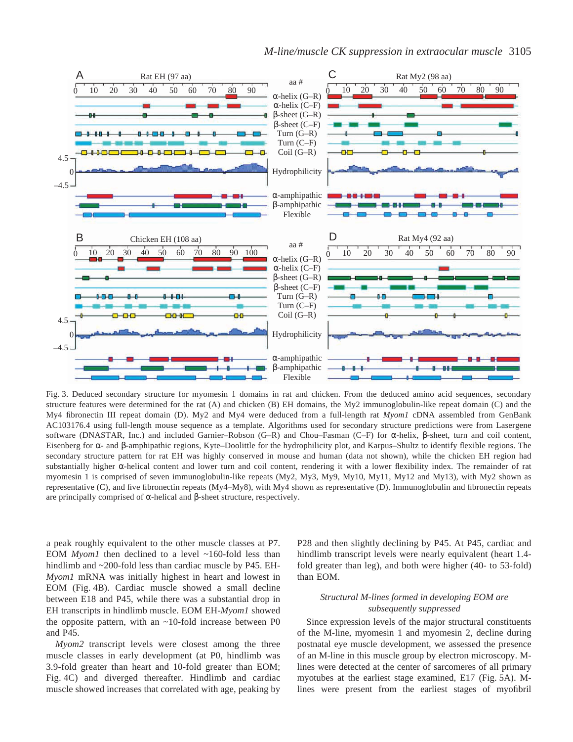

Fig. 3. Deduced secondary structure for myomesin 1 domains in rat and chicken. From the deduced amino acid sequences, secondary structure features were determined for the rat (A) and chicken (B) EH domains, the My2 immunoglobulin-like repeat domain (C) and the My4 fibronectin III repeat domain (D). My2 and My4 were deduced from a full-length rat *Myom1* cDNA assembled from GenBank AC103176.4 using full-length mouse sequence as a template. Algorithms used for secondary structure predictions were from Lasergene software (DNASTAR, Inc.) and included Garnier–Robson (G–R) and Chou–Fasman (C–F) for α-helix, β-sheet, turn and coil content, Eisenberg for α- and β-amphipathic regions, Kyte–Doolittle for the hydrophilicity plot, and Karpus–Shultz to identify flexible regions. The secondary structure pattern for rat EH was highly conserved in mouse and human (data not shown), while the chicken EH region had substantially higher  $\alpha$ -helical content and lower turn and coil content, rendering it with a lower flexibility index. The remainder of rat myomesin 1 is comprised of seven immunoglobulin-like repeats (My2, My3, My9, My10, My11, My12 and My13), with My2 shown as representative (C), and five fibronectin repeats (My4–My8), with My4 shown as representative (D). Immunoglobulin and fibronectin repeats are principally comprised of α-helical and β-sheet structure, respectively.

a peak roughly equivalent to the other muscle classes at P7. EOM *Myom1* then declined to a level ~160-fold less than hindlimb and ~200-fold less than cardiac muscle by P45. EH-*Myom1* mRNA was initially highest in heart and lowest in EOM (Fig. 4B). Cardiac muscle showed a small decline between E18 and P45, while there was a substantial drop in EH transcripts in hindlimb muscle. EOM EH-*Myom1* showed the opposite pattern, with an  $\sim$ 10-fold increase between P0 and P45.

*Myom2* transcript levels were closest among the three muscle classes in early development (at P0, hindlimb was 3.9-fold greater than heart and 10-fold greater than EOM; Fig. 4C) and diverged thereafter. Hindlimb and cardiac muscle showed increases that correlated with age, peaking by P28 and then slightly declining by P45. At P45, cardiac and hindlimb transcript levels were nearly equivalent (heart 1.4 fold greater than leg), and both were higher (40- to 53-fold) than EOM.

### *Structural M-lines formed in developing EOM are subsequently suppressed*

Since expression levels of the major structural constituents of the M-line, myomesin 1 and myomesin 2, decline during postnatal eye muscle development, we assessed the presence of an M-line in this muscle group by electron microscopy. Mlines were detected at the center of sarcomeres of all primary myotubes at the earliest stage examined, E17 (Fig. 5A). Mlines were present from the earliest stages of myofibril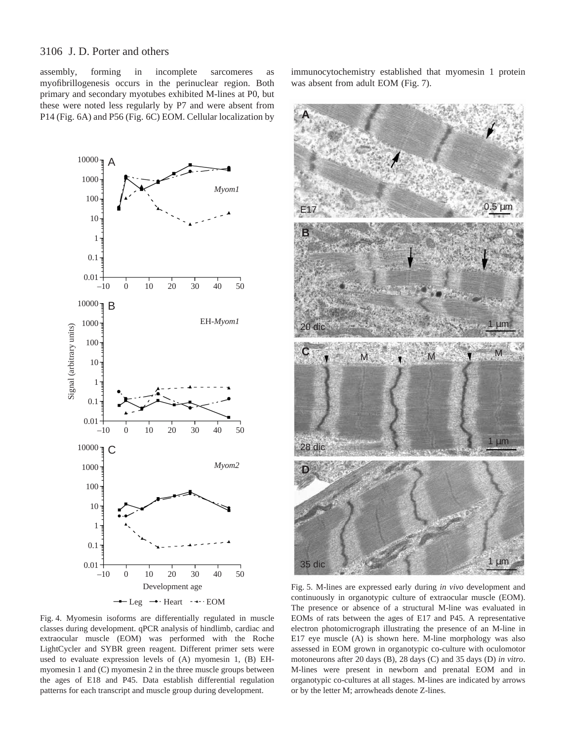assembly, forming in incomplete sarcomeres as myofibrillogenesis occurs in the perinuclear region. Both primary and secondary myotubes exhibited M-lines at P0, but these were noted less regularly by P7 and were absent from P14 (Fig. 6A) and P56 (Fig. 6C) EOM. Cellular localization by



Fig. 4. Myomesin isoforms are differentially regulated in muscle classes during development. qPCR analysis of hindlimb, cardiac and extraocular muscle (EOM) was performed with the Roche LightCycler and SYBR green reagent. Different primer sets were used to evaluate expression levels of (A) myomesin 1, (B) EHmyomesin 1 and (C) myomesin 2 in the three muscle groups between the ages of E18 and P45. Data establish differential regulation patterns for each transcript and muscle group during development.

immunocytochemistry established that myomesin 1 protein was absent from adult EOM (Fig. 7).



Fig. 5. M-lines are expressed early during *in vivo* development and continuously in organotypic culture of extraocular muscle (EOM). The presence or absence of a structural M-line was evaluated in EOMs of rats between the ages of E17 and P45. A representative electron photomicrograph illustrating the presence of an M-line in E17 eye muscle (A) is shown here. M-line morphology was also assessed in EOM grown in organotypic co-culture with oculomotor motoneurons after 20 days (B), 28 days (C) and 35 days (D) *in vitro*. M-lines were present in newborn and prenatal EOM and in organotypic co-cultures at all stages. M-lines are indicated by arrows or by the letter M; arrowheads denote Z-lines.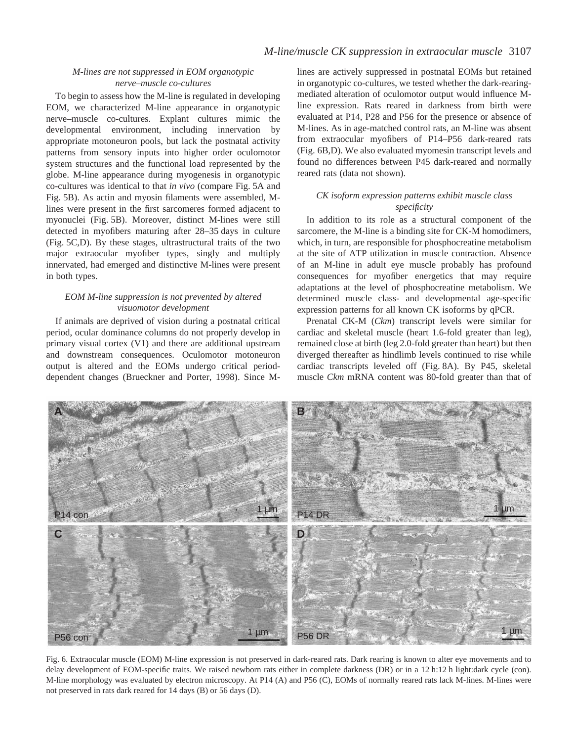### *M-lines are not suppressed in EOM organotypic nerve–muscle co-cultures*

To begin to assess how the M-line is regulated in developing EOM, we characterized M-line appearance in organotypic nerve–muscle co-cultures. Explant cultures mimic the developmental environment, including innervation by appropriate motoneuron pools, but lack the postnatal activity patterns from sensory inputs into higher order oculomotor system structures and the functional load represented by the globe. M-line appearance during myogenesis in organotypic co-cultures was identical to that *in vivo* (compare Fig. 5A and Fig. 5B). As actin and myosin filaments were assembled, Mlines were present in the first sarcomeres formed adjacent to myonuclei (Fig. 5B). Moreover, distinct M-lines were still detected in myofibers maturing after 28–35 days in culture (Fig. 5C,D). By these stages, ultrastructural traits of the two major extraocular myofiber types, singly and multiply innervated, had emerged and distinctive M-lines were present in both types.

### *EOM M-line suppression is not prevented by altered visuomotor development*

If animals are deprived of vision during a postnatal critical period, ocular dominance columns do not properly develop in primary visual cortex (V1) and there are additional upstream and downstream consequences. Oculomotor motoneuron output is altered and the EOMs undergo critical perioddependent changes (Brueckner and Porter, 1998). Since M- lines are actively suppressed in postnatal EOMs but retained in organotypic co-cultures, we tested whether the dark-rearingmediated alteration of oculomotor output would influence Mline expression. Rats reared in darkness from birth were evaluated at P14, P28 and P56 for the presence or absence of M-lines. As in age-matched control rats, an M-line was absent from extraocular myofibers of P14–P56 dark-reared rats (Fig. 6B,D). We also evaluated myomesin transcript levels and found no differences between P45 dark-reared and normally reared rats (data not shown).

### *CK isoform expression patterns exhibit muscle class specificity*

In addition to its role as a structural component of the sarcomere, the M-line is a binding site for CK-M homodimers, which, in turn, are responsible for phosphocreatine metabolism at the site of ATP utilization in muscle contraction. Absence of an M-line in adult eye muscle probably has profound consequences for myofiber energetics that may require adaptations at the level of phosphocreatine metabolism. We determined muscle class- and developmental age-specific expression patterns for all known CK isoforms by qPCR.

Prenatal CK-M (*Ckm*) transcript levels were similar for cardiac and skeletal muscle (heart 1.6-fold greater than leg), remained close at birth (leg 2.0-fold greater than heart) but then diverged thereafter as hindlimb levels continued to rise while cardiac transcripts leveled off (Fig. 8A). By P45, skeletal muscle *Ckm* mRNA content was 80-fold greater than that of



Fig. 6. Extraocular muscle (EOM) M-line expression is not preserved in dark-reared rats. Dark rearing is known to alter eye movements and to delay development of EOM-specific traits. We raised newborn rats either in complete darkness (DR) or in a 12 h:12 h light:dark cycle (con). M-line morphology was evaluated by electron microscopy. At P14 (A) and P56 (C), EOMs of normally reared rats lack M-lines. M-lines were not preserved in rats dark reared for 14 days (B) or 56 days (D).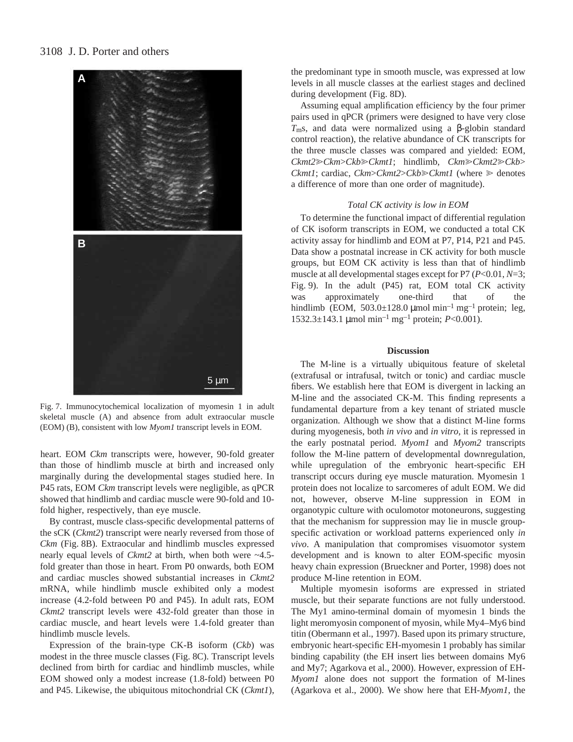

Fig. 7. Immunocytochemical localization of myomesin 1 in adult skeletal muscle (A) and absence from adult extraocular muscle (EOM) (B), consistent with low *Myom1* transcript levels in EOM.

heart. EOM *Ckm* transcripts were, however, 90-fold greater than those of hindlimb muscle at birth and increased only marginally during the developmental stages studied here. In P45 rats, EOM *Ckm* transcript levels were negligible, as qPCR showed that hindlimb and cardiac muscle were 90-fold and 10 fold higher, respectively, than eye muscle.

By contrast, muscle class-specific developmental patterns of the sCK (*Ckmt2*) transcript were nearly reversed from those of *Ckm* (Fig. 8B). Extraocular and hindlimb muscles expressed nearly equal levels of *Ckmt2* at birth, when both were ~4.5 fold greater than those in heart. From P0 onwards, both EOM and cardiac muscles showed substantial increases in *Ckmt2* mRNA, while hindlimb muscle exhibited only a modest increase (4.2-fold between P0 and P45). In adult rats, EOM *Ckmt2* transcript levels were 432-fold greater than those in cardiac muscle, and heart levels were 1.4-fold greater than hindlimb muscle levels.

Expression of the brain-type CK-B isoform (*Ckb*) was modest in the three muscle classes (Fig. 8C). Transcript levels declined from birth for cardiac and hindlimb muscles, while EOM showed only a modest increase (1.8-fold) between P0 and P45. Likewise, the ubiquitous mitochondrial CK (*Ckmt1*),

the predominant type in smooth muscle, was expressed at low levels in all muscle classes at the earliest stages and declined during development (Fig. 8D).

Assuming equal amplification efficiency by the four primer pairs used in qPCR (primers were designed to have very close *T*ms, and data were normalized using a β-globin standard control reaction), the relative abundance of CK transcripts for the three muscle classes was compared and yielded: EOM, *Ckmt2*@*Ckm*>*Ckb*@*Ckmt1*; hindlimb, *Ckm*@*Ckmt2*@*Ckb*> *Ckmt1*; cardiac,  $Ckm>Ckmt2>Ckb>Ckmt1$  (where  $\geq$  denotes a difference of more than one order of magnitude).

#### *Total CK activity is low in EOM*

To determine the functional impact of differential regulation of CK isoform transcripts in EOM, we conducted a total CK activity assay for hindlimb and EOM at P7, P14, P21 and P45. Data show a postnatal increase in CK activity for both muscle groups, but EOM CK activity is less than that of hindlimb muscle at all developmental stages except for P7 (*P*<0.01, *N*=3; Fig. 9). In the adult (P45) rat, EOM total CK activity was approximately one-third that of the hindlimb (EOM,  $503.0 \pm 128.0 \mu$ mol min<sup>-1</sup> mg<sup>-1</sup> protein; leg, 1532.3±143.1 µmol min<sup>-1</sup> mg<sup>-1</sup> protein; *P*<0.001).

#### **Discussion**

The M-line is a virtually ubiquitous feature of skeletal (extrafusal or intrafusal, twitch or tonic) and cardiac muscle fibers. We establish here that EOM is divergent in lacking an M-line and the associated CK-M. This finding represents a fundamental departure from a key tenant of striated muscle organization. Although we show that a distinct M-line forms during myogenesis, both *in vivo* and *in vitro*, it is repressed in the early postnatal period. *Myom1* and *Myom2* transcripts follow the M-line pattern of developmental downregulation, while upregulation of the embryonic heart-specific EH transcript occurs during eye muscle maturation. Myomesin 1 protein does not localize to sarcomeres of adult EOM. We did not, however, observe M-line suppression in EOM in organotypic culture with oculomotor motoneurons, suggesting that the mechanism for suppression may lie in muscle groupspecific activation or workload patterns experienced only *in vivo*. A manipulation that compromises visuomotor system development and is known to alter EOM-specific myosin heavy chain expression (Brueckner and Porter, 1998) does not produce M-line retention in EOM.

Multiple myomesin isoforms are expressed in striated muscle, but their separate functions are not fully understood. The My1 amino-terminal domain of myomesin 1 binds the light meromyosin component of myosin, while My4–My6 bind titin (Obermann et al., 1997). Based upon its primary structure, embryonic heart-specific EH-myomesin 1 probably has similar binding capability (the EH insert lies between domains My6 and My7; Agarkova et al., 2000). However, expression of EH-*Myom1* alone does not support the formation of M-lines (Agarkova et al., 2000). We show here that EH-*Myom1*, the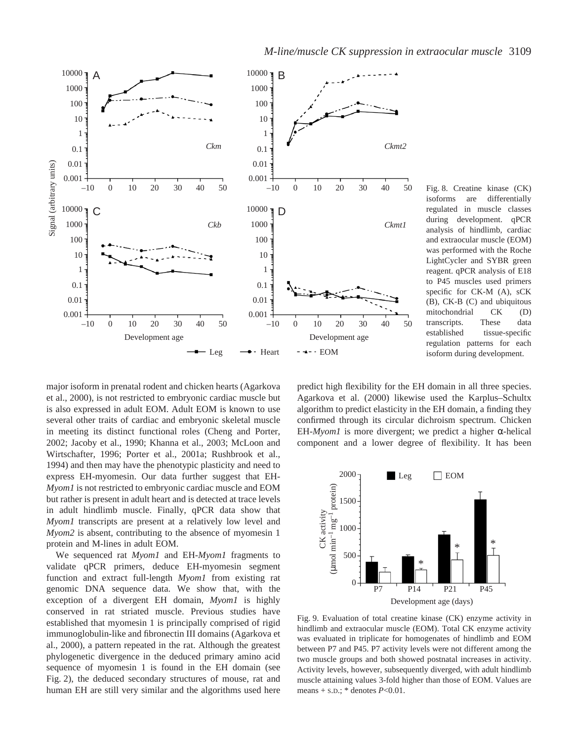

0.01 0.001

Leg  $\longrightarrow$  Heart  $\longrightarrow$  EOM

0.1

Fig. 8. Creatine kinase (CK) isoforms are differentially regulated in muscle classes during development. qPCR analysis of hindlimb, cardiac and extraocular muscle (EOM) was performed with the Roche LightCycler and SYBR green reagent. qPCR analysis of E18 to P45 muscles used primers specific for CK-M (A), sCK (B), CK-B (C) and ubiquitous mitochondrial CK (D) transcripts. These data established tissue-specific regulation patterns for each isoform during development.

major isoform in prenatal rodent and chicken hearts (Agarkova et al., 2000), is not restricted to embryonic cardiac muscle but is also expressed in adult EOM. Adult EOM is known to use several other traits of cardiac and embryonic skeletal muscle in meeting its distinct functional roles (Cheng and Porter, 2002; Jacoby et al., 1990; Khanna et al., 2003; McLoon and Wirtschafter, 1996; Porter et al., 2001a; Rushbrook et al., 1994) and then may have the phenotypic plasticity and need to express EH-myomesin. Our data further suggest that EH-*Myom1* is not restricted to embryonic cardiac muscle and EOM but rather is present in adult heart and is detected at trace levels in adult hindlimb muscle. Finally, qPCR data show that *Myom1* transcripts are present at a relatively low level and *Myom2* is absent, contributing to the absence of myomesin 1 protein and M-lines in adult EOM.

–10 0 10 20 30 40 50

Development age

0.01

0.1

Signal (arbitrary units)

Signal (arbitrary units)

 $0.001 + -10$ 

We sequenced rat *Myom1* and EH-*Myom1* fragments to validate qPCR primers, deduce EH-myomesin segment function and extract full-length *Myom1* from existing rat genomic DNA sequence data. We show that, with the exception of a divergent EH domain, *Myom1* is highly conserved in rat striated muscle. Previous studies have established that myomesin 1 is principally comprised of rigid immunoglobulin-like and fibronectin III domains (Agarkova et al., 2000), a pattern repeated in the rat. Although the greatest phylogenetic divergence in the deduced primary amino acid sequence of myomesin 1 is found in the EH domain (see Fig. 2), the deduced secondary structures of mouse, rat and human EH are still very similar and the algorithms used here

predict high flexibility for the EH domain in all three species. Agarkova et al. (2000) likewise used the Karplus–Schultx algorithm to predict elasticity in the EH domain, a finding they confirmed through its circular dichroism spectrum. Chicken EH- $Myom1$  is more divergent; we predict a higher  $\alpha$ -helical component and a lower degree of flexibility. It has been

–10 0 10 20 30 40 50

Development age



Fig. 9. Evaluation of total creatine kinase (CK) enzyme activity in hindlimb and extraocular muscle (EOM). Total CK enzyme activity was evaluated in triplicate for homogenates of hindlimb and EOM between P7 and P45. P7 activity levels were not different among the two muscle groups and both showed postnatal increases in activity. Activity levels, however, subsequently diverged, with adult hindlimb muscle attaining values 3-fold higher than those of EOM. Values are means + S.D.; \* denotes *P*<0.01.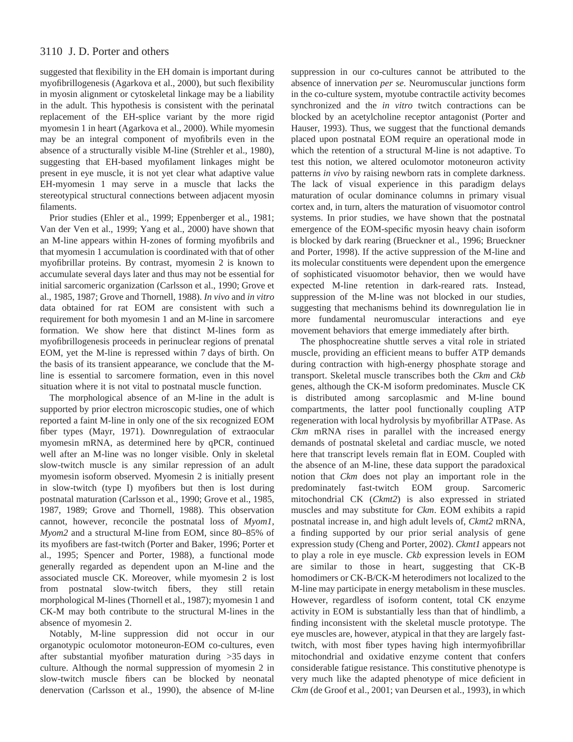suggested that flexibility in the EH domain is important during myofibrillogenesis (Agarkova et al., 2000), but such flexibility in myosin alignment or cytoskeletal linkage may be a liability in the adult. This hypothesis is consistent with the perinatal replacement of the EH-splice variant by the more rigid myomesin 1 in heart (Agarkova et al., 2000). While myomesin may be an integral component of myofibrils even in the absence of a structurally visible M-line (Strehler et al., 1980), suggesting that EH-based myofilament linkages might be present in eye muscle, it is not yet clear what adaptive value EH-myomesin 1 may serve in a muscle that lacks the stereotypical structural connections between adjacent myosin filaments.

Prior studies (Ehler et al., 1999; Eppenberger et al., 1981; Van der Ven et al., 1999; Yang et al., 2000) have shown that an M-line appears within H-zones of forming myofibrils and that myomesin 1 accumulation is coordinated with that of other myofibrillar proteins. By contrast, myomesin 2 is known to accumulate several days later and thus may not be essential for initial sarcomeric organization (Carlsson et al., 1990; Grove et al., 1985, 1987; Grove and Thornell, 1988). *In vivo* and *in vitro* data obtained for rat EOM are consistent with such a requirement for both myomesin 1 and an M-line in sarcomere formation. We show here that distinct M-lines form as myofibrillogenesis proceeds in perinuclear regions of prenatal EOM, yet the M-line is repressed within 7 days of birth. On the basis of its transient appearance, we conclude that the Mline is essential to sarcomere formation, even in this novel situation where it is not vital to postnatal muscle function.

The morphological absence of an M-line in the adult is supported by prior electron microscopic studies, one of which reported a faint M-line in only one of the six recognized EOM fiber types (Mayr, 1971). Downregulation of extraocular myomesin mRNA, as determined here by qPCR, continued well after an M-line was no longer visible. Only in skeletal slow-twitch muscle is any similar repression of an adult myomesin isoform observed. Myomesin 2 is initially present in slow-twitch (type I) myofibers but then is lost during postnatal maturation (Carlsson et al., 1990; Grove et al., 1985, 1987, 1989; Grove and Thornell, 1988). This observation cannot, however, reconcile the postnatal loss of *Myom1*, *Myom2* and a structural M-line from EOM, since 80–85% of its myofibers are fast-twitch (Porter and Baker, 1996; Porter et al., 1995; Spencer and Porter, 1988), a functional mode generally regarded as dependent upon an M-line and the associated muscle CK. Moreover, while myomesin 2 is lost from postnatal slow-twitch fibers, they still retain morphological M-lines (Thornell et al., 1987); myomesin 1 and CK-M may both contribute to the structural M-lines in the absence of myomesin 2.

Notably, M-line suppression did not occur in our organotypic oculomotor motoneuron-EOM co-cultures, even after substantial myofiber maturation during  $>35 \text{ days}$  in culture. Although the normal suppression of myomesin 2 in slow-twitch muscle fibers can be blocked by neonatal denervation (Carlsson et al., 1990), the absence of M-line

suppression in our co-cultures cannot be attributed to the absence of innervation *per se*. Neuromuscular junctions form in the co-culture system, myotube contractile activity becomes synchronized and the *in vitro* twitch contractions can be blocked by an acetylcholine receptor antagonist (Porter and Hauser, 1993). Thus, we suggest that the functional demands placed upon postnatal EOM require an operational mode in which the retention of a structural M-line is not adaptive. To test this notion, we altered oculomotor motoneuron activity patterns *in vivo* by raising newborn rats in complete darkness. The lack of visual experience in this paradigm delays maturation of ocular dominance columns in primary visual cortex and, in turn, alters the maturation of visuomotor control systems. In prior studies, we have shown that the postnatal emergence of the EOM-specific myosin heavy chain isoform is blocked by dark rearing (Brueckner et al., 1996; Brueckner and Porter, 1998). If the active suppression of the M-line and its molecular constituents were dependent upon the emergence of sophisticated visuomotor behavior, then we would have expected M-line retention in dark-reared rats. Instead, suppression of the M-line was not blocked in our studies, suggesting that mechanisms behind its downregulation lie in more fundamental neuromuscular interactions and eye movement behaviors that emerge immediately after birth.

The phosphocreatine shuttle serves a vital role in striated muscle, providing an efficient means to buffer ATP demands during contraction with high-energy phosphate storage and transport. Skeletal muscle transcribes both the *Ckm* and *Ckb* genes, although the CK-M isoform predominates. Muscle CK is distributed among sarcoplasmic and M-line bound compartments, the latter pool functionally coupling ATP regeneration with local hydrolysis by myofibrillar ATPase. As *Ckm* mRNA rises in parallel with the increased energy demands of postnatal skeletal and cardiac muscle, we noted here that transcript levels remain flat in EOM. Coupled with the absence of an M-line, these data support the paradoxical notion that *Ckm* does not play an important role in the predominately fast-twitch EOM group. Sarcomeric mitochondrial CK (*Ckmt2*) is also expressed in striated muscles and may substitute for *Ckm*. EOM exhibits a rapid postnatal increase in, and high adult levels of, *Ckmt2* mRNA, a finding supported by our prior serial analysis of gene expression study (Cheng and Porter, 2002). *Ckmt1* appears not to play a role in eye muscle. *Ckb* expression levels in EOM are similar to those in heart, suggesting that CK-B homodimers or CK-B/CK-M heterodimers not localized to the M-line may participate in energy metabolism in these muscles. However, regardless of isoform content, total CK enzyme activity in EOM is substantially less than that of hindlimb, a finding inconsistent with the skeletal muscle prototype. The eye muscles are, however, atypical in that they are largely fasttwitch, with most fiber types having high intermyofibrillar mitochondrial and oxidative enzyme content that confers considerable fatigue resistance. This constitutive phenotype is very much like the adapted phenotype of mice deficient in *Ckm* (de Groof et al., 2001; van Deursen et al., 1993), in which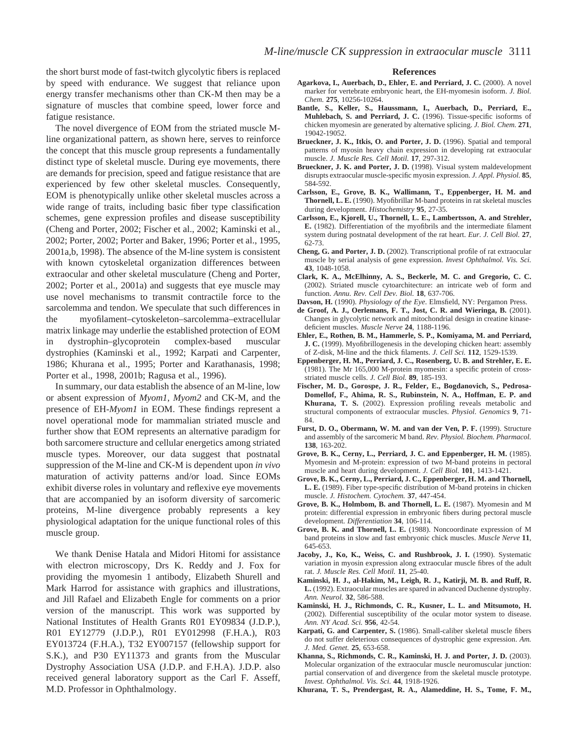the short burst mode of fast-twitch glycolytic fibers is replaced by speed with endurance. We suggest that reliance upon energy transfer mechanisms other than CK-M then may be a signature of muscles that combine speed, lower force and fatigue resistance.

The novel divergence of EOM from the striated muscle Mline organizational pattern, as shown here, serves to reinforce the concept that this muscle group represents a fundamentally distinct type of skeletal muscle. During eye movements, there are demands for precision, speed and fatigue resistance that are experienced by few other skeletal muscles. Consequently, EOM is phenotypically unlike other skeletal muscles across a wide range of traits, including basic fiber type classification schemes, gene expression profiles and disease susceptibility (Cheng and Porter, 2002; Fischer et al., 2002; Kaminski et al., 2002; Porter, 2002; Porter and Baker, 1996; Porter et al., 1995, 2001a,b, 1998). The absence of the M-line system is consistent with known cytoskeletal organization differences between extraocular and other skeletal musculature (Cheng and Porter, 2002; Porter et al., 2001a) and suggests that eye muscle may use novel mechanisms to transmit contractile force to the sarcolemma and tendon. We speculate that such differences in the myofilament–cytoskeleton–sarcolemma–extracellular matrix linkage may underlie the established protection of EOM in dystrophin–glycoprotein complex-based muscular dystrophies (Kaminski et al., 1992; Karpati and Carpenter, 1986; Khurana et al., 1995; Porter and Karathanasis, 1998; Porter et al., 1998, 2001b; Ragusa et al., 1996).

In summary, our data establish the absence of an M-line, low or absent expression of *Myom1*, *Myom2* and CK-M, and the presence of EH-*Myom1* in EOM. These findings represent a novel operational mode for mammalian striated muscle and further show that EOM represents an alternative paradigm for both sarcomere structure and cellular energetics among striated muscle types. Moreover, our data suggest that postnatal suppression of the M-line and CK-M is dependent upon *in vivo* maturation of activity patterns and/or load. Since EOMs exhibit diverse roles in voluntary and reflexive eye movements that are accompanied by an isoform diversity of sarcomeric proteins, M-line divergence probably represents a key physiological adaptation for the unique functional roles of this muscle group.

We thank Denise Hatala and Midori Hitomi for assistance with electron microscopy, Drs K. Reddy and J. Fox for providing the myomesin 1 antibody, Elizabeth Shurell and Mark Harrod for assistance with graphics and illustrations, and Jill Rafael and Elizabeth Engle for comments on a prior version of the manuscript. This work was supported by National Institutes of Health Grants R01 EY09834 (J.D.P.), R01 EY12779 (J.D.P.), R01 EY012998 (F.H.A.), R03 EY013724 (F.H.A.), T32 EY007157 (fellowship support for S.K.), and P30 EY11373 and grants from the Muscular Dystrophy Association USA (J.D.P. and F.H.A). J.D.P. also received general laboratory support as the Carl F. Asseff, M.D. Professor in Ophthalmology.

#### **References**

- **Agarkova, I., Auerbach, D., Ehler, E. and Perriard, J. C.** (2000). A novel marker for vertebrate embryonic heart, the EH-myomesin isoform. *J. Biol. Chem.* **275**, 10256-10264.
- **Bantle, S., Keller, S., Haussmann, I., Auerbach, D., Perriard, E., Muhlebach, S. and Perriard, J. C.** (1996). Tissue-specific isoforms of chicken myomesin are generated by alternative splicing. *J. Biol. Chem.* **271**, 19042-19052.
- **Brueckner, J. K., Itkis, O. and Porter, J. D.** (1996). Spatial and temporal patterns of myosin heavy chain expression in developing rat extraocular muscle. *J. Muscle Res. Cell Motil.* **17**, 297-312.
- **Brueckner, J. K. and Porter, J. D.** (1998). Visual system maldevelopment disrupts extraocular muscle-specific myosin expression. *J. Appl. Physiol.* **85**, 584-592.
- **Carlsson, E., Grove, B. K., Wallimann, T., Eppenberger, H. M. and Thornell, L. E.** (1990). Myofibrillar M-band proteins in rat skeletal muscles during development. *Histochemistry* **95**, 27-35.
- **Carlsson, E., Kjorell, U., Thornell, L. E., Lambertsson, A. and Strehler, E.** (1982). Differentiation of the myofibrils and the intermediate filament system during postnatal development of the rat heart. *Eur. J. Cell Biol.* **27**, 62-73.
- **Cheng, G. and Porter, J. D.** (2002). Transcriptional profile of rat extraocular muscle by serial analysis of gene expression. *Invest Ophthalmol. Vis. Sci.* **43**, 1048-1058.
- **Clark, K. A., McElhinny, A. S., Beckerle, M. C. and Gregorio, C. C.** (2002). Striated muscle cytoarchitecture: an intricate web of form and function. *Annu. Rev. Cell Dev. Biol.* **18**, 637-706.
- **Davson, H.** (1990). *Physiology of the Eye*. Elmsfield, NY: Pergamon Press.
- **de Groof, A. J., Oerlemans, F. T., Jost, C. R. and Wieringa, B.** (2001). Changes in glycolytic network and mitochondrial design in creatine kinasedeficient muscles. *Muscle Nerve* **24**, 1188-1196.
- **Ehler, E., Rothen, B. M., Hammerle, S. P., Komiyama, M. and Perriard, J. C.** (1999). Myofibrillogenesis in the developing chicken heart: assembly of Z-disk, M-line and the thick filaments. *J. Cell Sci.* **112**, 1529-1539.
- **Eppenberger, H. M., Perriard, J. C., Rosenberg, U. B. and Strehler, E. E.** (1981). The Mr 165,000 M-protein myomesin: a specific protein of crossstriated muscle cells. *J. Cell Biol.* **89**, 185-193.
- **Fischer, M. D., Gorospe, J. R., Felder, E., Bogdanovich, S., Pedrosa-Domellof, F., Ahima, R. S., Rubinstein, N. A., Hoffman, E. P. and Khurana, T. S.** (2002). Expression profiling reveals metabolic and structural components of extraocular muscles. *Physiol. Genomics* **9**, 71- 84.
- **Furst, D. O., Obermann, W. M. and van der Ven, P. F.** (1999). Structure and assembly of the sarcomeric M band. *Rev. Physiol. Biochem. Pharmacol.* **138**, 163-202.
- **Grove, B. K., Cerny, L., Perriard, J. C. and Eppenberger, H. M.** (1985). Myomesin and M-protein: expression of two M-band proteins in pectoral muscle and heart during development. *J. Cell Biol.* **101**, 1413-1421.
- **Grove, B. K., Cerny, L., Perriard, J. C., Eppenberger, H. M. and Thornell, L. E.** (1989). Fiber type-specific distribution of M-band proteins in chicken muscle. *J. Histochem. Cytochem.* **37**, 447-454.
- **Grove, B. K., Holmbom, B. and Thornell, L. E.** (1987). Myomesin and M protein: differential expression in embryonic fibers during pectoral muscle development. *Differentiation* **34**, 106-114.
- **Grove, B. K. and Thornell, L. E.** (1988). Noncoordinate expression of M band proteins in slow and fast embryonic chick muscles. *Muscle Nerve* **11**, 645-653.
- **Jacoby, J., Ko, K., Weiss, C. and Rushbrook, J. I.** (1990). Systematic variation in myosin expression along extraocular muscle fibres of the adult rat. *J. Muscle Res. Cell Motil.* **11**, 25-40.
- **Kaminski, H. J., al-Hakim, M., Leigh, R. J., Katirji, M. B. and Ruff, R. L.** (1992). Extraocular muscles are spared in advanced Duchenne dystrophy. *Ann. Neurol.* **32**, 586-588.
- **Kaminski, H. J., Richmonds, C. R., Kusner, L. L. and Mitsumoto, H.** (2002). Differential susceptibility of the ocular motor system to disease. *Ann. NY Acad. Sci.* **956**, 42-54.
- **Karpati, G. and Carpenter, S.** (1986). Small-caliber skeletal muscle fibers do not suffer deleterious consequences of dystrophic gene expression. *Am. J. Med. Genet.* **25**, 653-658.
- **Khanna, S., Richmonds, C. R., Kaminski, H. J. and Porter, J. D.** (2003). Molecular organization of the extraocular muscle neuromuscular junction: partial conservation of and divergence from the skeletal muscle prototype. *Invest. Ophthalmol. Vis. Sci.* **44**, 1918-1926.
- **Khurana, T. S., Prendergast, R. A., Alameddine, H. S., Tome, F. M.,**